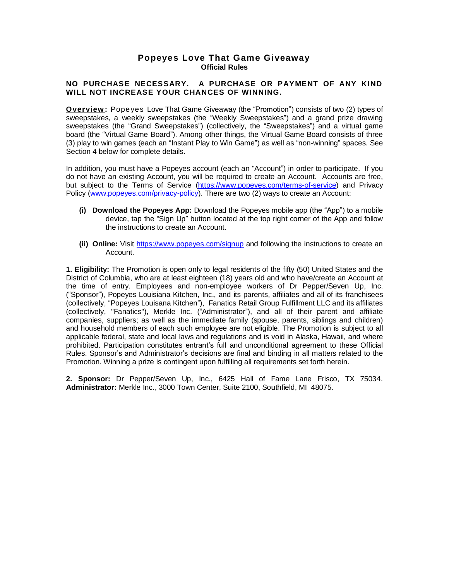# **Popeyes Love That Game Giveaway Official Rules**

### **NO PURCHASE NECESSARY. A PURCHASE OR PAYMENT OF ANY KIND WILL NOT INCREASE YOUR CHANCES OF WINNING.**

**Overview :** Popeyes Love That Game Giveaway (the "Promotion") consists of two (2) types of sweepstakes, a weekly sweepstakes (the "Weekly Sweepstakes") and a grand prize drawing sweepstakes (the "Grand Sweepstakes") (collectively, the "Sweepstakes") and a virtual game board (the "Virtual Game Board"). Among other things, the Virtual Game Board consists of three (3) play to win games (each an "Instant Play to Win Game") as well as "non-winning" spaces. See Section 4 below for complete details.

In addition, you must have a Popeyes account (each an "Account") in order to participate. If you do not have an existing Account, you will be required to create an Account. Accounts are free, but subject to the Terms of Service [\(https://www.popeyes.com/terms-of-service\)](https://www.popeyes.com/terms-of-service) and Privacy Policy [\(www.popeyes.com/privacy-policy\)](http://www.popeyes.com/privacy-policy). There are two (2) ways to create an Account:

- **(i) Download the Popeyes App:** Download the Popeyes mobile app (the "App") to a mobile device, tap the "Sign Up" button located at the top right corner of the App and follow the instructions to create an Account.
- **(ii) Online:** Visit<https://www.popeyes.com/signup> and following the instructions to create an Account.

**1. Eligibility:** The Promotion is open only to legal residents of the fifty (50) United States and the District of Columbia, who are at least eighteen (18) years old and who have/create an Account at the time of entry. Employees and non-employee workers of Dr Pepper/Seven Up, Inc. ("Sponsor"), Popeyes Louisiana Kitchen, Inc., and its parents, affiliates and all of its franchisees (collectively, "Popeyes Louisana Kitchen"), Fanatics Retail Group Fulfillment LLC and its affiliates (collectively, "Fanatics"), Merkle Inc. ("Administrator"), and all of their parent and affiliate companies, suppliers; as well as the immediate family (spouse, parents, siblings and children) and household members of each such employee are not eligible. The Promotion is subject to all applicable federal, state and local laws and regulations and is void in Alaska, Hawaii, and where prohibited. Participation constitutes entrant's full and unconditional agreement to these Official Rules. Sponsor's and Administrator's decisions are final and binding in all matters related to the Promotion. Winning a prize is contingent upon fulfilling all requirements set forth herein.

**2. Sponsor:** Dr Pepper/Seven Up, Inc., 6425 Hall of Fame Lane Frisco, TX 75034. **Administrator:** Merkle Inc., 3000 Town Center, Suite 2100, Southfield, MI 48075.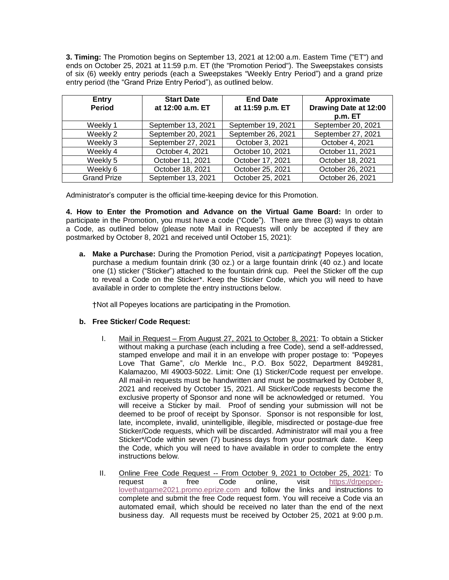**3. Timing:** The Promotion begins on September 13, 2021 at 12:00 a.m. Eastern Time ("ET") and ends on October 25, 2021 at 11:59 p.m. ET (the "Promotion Period"). The Sweepstakes consists of six (6) weekly entry periods (each a Sweepstakes "Weekly Entry Period") and a grand prize entry period (the "Grand Prize Entry Period"), as outlined below.

| Entry<br><b>Period</b> | <b>Start Date</b><br>at 12:00 a.m. ET | <b>End Date</b><br>at 11:59 p.m. ET | Approximate<br>Drawing Date at 12:00<br>p.m. ET |
|------------------------|---------------------------------------|-------------------------------------|-------------------------------------------------|
| Weekly 1               | September 13, 2021                    | September 19, 2021                  | September 20, 2021                              |
| Weekly 2               | September 20, 2021                    | September 26, 2021                  | September 27, 2021                              |
| Weekly 3               | September 27, 2021                    | October 3, 2021                     | October 4, 2021                                 |
| Weekly 4               | October 4, 2021                       | October 10, 2021                    | October 11, 2021                                |
| Weekly 5               | October 11, 2021                      | October 17, 2021                    | October 18, 2021                                |
| Weekly 6               | October 18, 2021                      | October 25, 2021                    | October 26, 2021                                |
| <b>Grand Prize</b>     | September 13, 2021                    | October 25, 2021                    | October 26, 2021                                |

Administrator's computer is the official time-keeping device for this Promotion.

**4. How to Enter the Promotion and Advance on the Virtual Game Board:** In order to participate in the Promotion, you must have a code ("Code"). There are three (3) ways to obtain a Code, as outlined below (please note Mail in Requests will only be accepted if they are postmarked by October 8, 2021 and received until October 15, 2021):

**a. Make a Purchase:** During the Promotion Period, visit a *participating*† Popeyes location, purchase a medium fountain drink (30 oz.) or a large fountain drink (40 oz.) and locate one (1) sticker ("Sticker") attached to the fountain drink cup. Peel the Sticker off the cup to reveal a Code on the Sticker\*. Keep the Sticker Code, which you will need to have available in order to complete the entry instructions below.

†Not all Popeyes locations are participating in the Promotion.

## **b. Free Sticker/ Code Request:**

- I. Mail in Request From August 27, 2021 to October 8, 2021: To obtain a Sticker without making a purchase (each including a free Code), send a self-addressed, stamped envelope and mail it in an envelope with proper postage to: "Popeyes Love That Game", c/o Merkle Inc., P.O. Box 5022, Department 849281, Kalamazoo, MI 49003-5022. Limit: One (1) Sticker/Code request per envelope. All mail-in requests must be handwritten and must be postmarked by October 8, 2021 and received by October 15, 2021. All Sticker/Code requests become the exclusive property of Sponsor and none will be acknowledged or returned. You will receive a Sticker by mail. Proof of sending your submission will not be deemed to be proof of receipt by Sponsor. Sponsor is not responsible for lost, late, incomplete, invalid, unintelligible, illegible, misdirected or postage-due free Sticker/Code requests, which will be discarded. Administrator will mail you a free Sticker\*/Code within seven (7) business days from your postmark date. Keep the Code, which you will need to have available in order to complete the entry instructions below.
- II. Online Free Code Request -- From October 9, 2021 to October 25, 2021: To request a free Code online, visit [https://drpepper](https://drpepper-lovethatgame2021.promo.eprize.com/)[lovethatgame2021.promo.eprize.com](https://drpepper-lovethatgame2021.promo.eprize.com/) and follow the links and instructions to complete and submit the free Code request form. You will receive a Code via an automated email, which should be received no later than the end of the next business day. All requests must be received by October 25, 2021 at 9:00 p.m.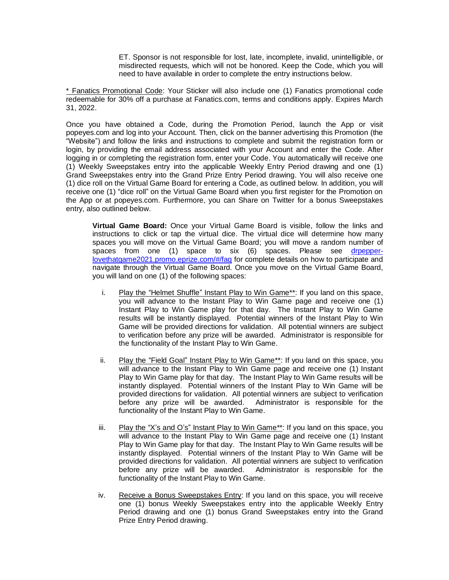ET. Sponsor is not responsible for lost, late, incomplete, invalid, unintelligible, or misdirected requests, which will not be honored. Keep the Code, which you will need to have available in order to complete the entry instructions below.

\* Fanatics Promotional Code: Your Sticker will also include one (1) Fanatics promotional code redeemable for 30% off a purchase at Fanatics.com, terms and conditions apply. Expires March 31, 2022.

Once you have obtained a Code, during the Promotion Period, launch the App or visit popeyes.com and log into your Account. Then, click on the banner advertising this Promotion (the "Website") and follow the links and instructions to complete and submit the registration form or login, by providing the email address associated with your Account and enter the Code. After logging in or completing the registration form, enter your Code. You automatically will receive one (1) Weekly Sweepstakes entry into the applicable Weekly Entry Period drawing and one (1) Grand Sweepstakes entry into the Grand Prize Entry Period drawing. You will also receive one (1) dice roll on the Virtual Game Board for entering a Code, as outlined below. In addition, you will receive one (1) "dice roll" on the Virtual Game Board when you first register for the Promotion on the App or at popeyes.com. Furthermore, you can Share on Twitter for a bonus Sweepstakes entry, also outlined below.

**Virtual Game Board:** Once your Virtual Game Board is visible, follow the links and instructions to click or tap the virtual dice. The virtual dice will determine how many spaces you will move on the Virtual Game Board; you will move a random number of spaces from one (1) space to six (6) spaces. Please see [drpepper](https://drpepper-lovethatgame2021.promo.eprize.com/#/faq)[lovethatgame2021.promo.eprize.com/#/faq](https://drpepper-lovethatgame2021.promo.eprize.com/#/faq) for complete details on how to participate and navigate through the Virtual Game Board. Once you move on the Virtual Game Board, you will land on one (1) of the following spaces:

- i. Play the "Helmet Shuffle" Instant Play to Win Game\*\*: If you land on this space, you will advance to the Instant Play to Win Game page and receive one (1) Instant Play to Win Game play for that day. The Instant Play to Win Game results will be instantly displayed. Potential winners of the Instant Play to Win Game will be provided directions for validation. All potential winners are subject to verification before any prize will be awarded. Administrator is responsible for the functionality of the Instant Play to Win Game.
- ii. Play the "Field Goal" Instant Play to Win Game\*\*: If you land on this space, you will advance to the Instant Play to Win Game page and receive one (1) Instant Play to Win Game play for that day. The Instant Play to Win Game results will be instantly displayed. Potential winners of the Instant Play to Win Game will be provided directions for validation. All potential winners are subject to verification before any prize will be awarded. Administrator is responsible for the functionality of the Instant Play to Win Game.
- iii. Play the "X's and O's" Instant Play to Win Game\*\*: If you land on this space, you will advance to the Instant Play to Win Game page and receive one (1) Instant Play to Win Game play for that day. The Instant Play to Win Game results will be instantly displayed. Potential winners of the Instant Play to Win Game will be provided directions for validation. All potential winners are subject to verification before any prize will be awarded. Administrator is responsible for the functionality of the Instant Play to Win Game.
- iv. Receive a Bonus Sweepstakes Entry: If you land on this space, you will receive one (1) bonus Weekly Sweepstakes entry into the applicable Weekly Entry Period drawing and one (1) bonus Grand Sweepstakes entry into the Grand Prize Entry Period drawing.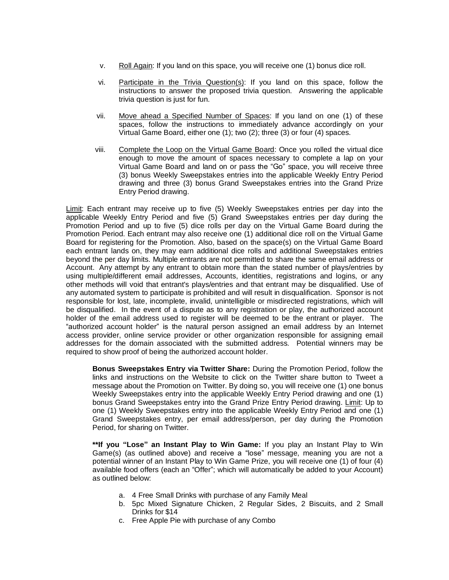- v. Roll Again: If you land on this space, you will receive one (1) bonus dice roll.
- vi. Participate in the Trivia Question(s): If you land on this space, follow the instructions to answer the proposed trivia question. Answering the applicable trivia question is just for fun.
- vii. Move ahead a Specified Number of Spaces: If you land on one (1) of these spaces, follow the instructions to immediately advance accordingly on your Virtual Game Board, either one (1); two (2); three (3) or four (4) spaces.
- viii. Complete the Loop on the Virtual Game Board: Once you rolled the virtual dice enough to move the amount of spaces necessary to complete a lap on your Virtual Game Board and land on or pass the "Go" space, you will receive three (3) bonus Weekly Sweepstakes entries into the applicable Weekly Entry Period drawing and three (3) bonus Grand Sweepstakes entries into the Grand Prize Entry Period drawing.

Limit: Each entrant may receive up to five (5) Weekly Sweepstakes entries per day into the applicable Weekly Entry Period and five (5) Grand Sweepstakes entries per day during the Promotion Period and up to five (5) dice rolls per day on the Virtual Game Board during the Promotion Period. Each entrant may also receive one (1) additional dice roll on the Virtual Game Board for registering for the Promotion. Also, based on the space(s) on the Virtual Game Board each entrant lands on, they may earn additional dice rolls and additional Sweepstakes entries beyond the per day limits. Multiple entrants are not permitted to share the same email address or Account. Any attempt by any entrant to obtain more than the stated number of plays/entries by using multiple/different email addresses, Accounts, identities, registrations and logins, or any other methods will void that entrant's plays/entries and that entrant may be disqualified. Use of any automated system to participate is prohibited and will result in disqualification. Sponsor is not responsible for lost, late, incomplete, invalid, unintelligible or misdirected registrations, which will be disqualified. In the event of a dispute as to any registration or play, the authorized account holder of the email address used to register will be deemed to be the entrant or player. The "authorized account holder" is the natural person assigned an email address by an Internet access provider, online service provider or other organization responsible for assigning email addresses for the domain associated with the submitted address. Potential winners may be required to show proof of being the authorized account holder.

**Bonus Sweepstakes Entry via Twitter Share:** During the Promotion Period, follow the links and instructions on the Website to click on the Twitter share button to Tweet a message about the Promotion on Twitter. By doing so, you will receive one (1) one bonus Weekly Sweepstakes entry into the applicable Weekly Entry Period drawing and one (1) bonus Grand Sweepstakes entry into the Grand Prize Entry Period drawing. Limit: Up to one (1) Weekly Sweepstakes entry into the applicable Weekly Entry Period and one (1) Grand Sweepstakes entry, per email address/person, per day during the Promotion Period, for sharing on Twitter.

**\*\*If you "Lose" an Instant Play to Win Game:** If you play an Instant Play to Win Game(s) (as outlined above) and receive a "lose" message, meaning you are not a potential winner of an Instant Play to Win Game Prize, you will receive one (1) of four (4) available food offers (each an "Offer"; which will automatically be added to your Account) as outlined below:

- a. 4 Free Small Drinks with purchase of any Family Meal
- b. 5pc Mixed Signature Chicken, 2 Regular Sides, 2 Biscuits, and 2 Small Drinks for \$14
- c. Free Apple Pie with purchase of any Combo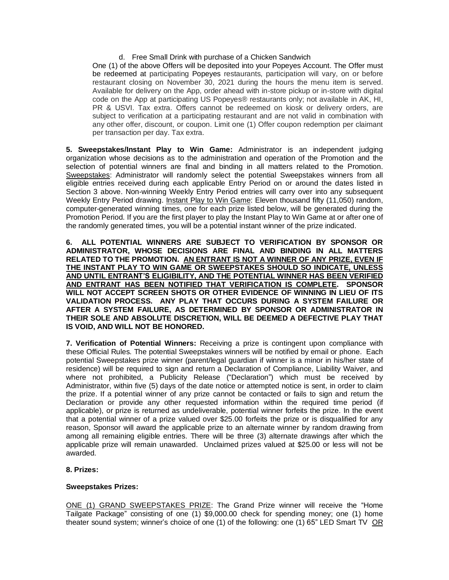#### d. Free Small Drink with purchase of a Chicken Sandwich

One (1) of the above Offers will be deposited into your Popeyes Account. The Offer must be redeemed at participating Popeyes restaurants, participation will vary, on or before restaurant closing on November 30, 2021 during the hours the menu item is served. Available for delivery on the App, order ahead with in-store pickup or in-store with digital code on the App at participating US Popeyes® restaurants only; not available in AK, HI, PR & USVI. Tax extra. Offers cannot be redeemed on kiosk or delivery orders, are subject to verification at a participating restaurant and are not valid in combination with any other offer, discount, or coupon. Limit one (1) Offer coupon redemption per claimant per transaction per day. Tax extra.

**5. Sweepstakes/Instant Play to Win Game:** Administrator is an independent judging organization whose decisions as to the administration and operation of the Promotion and the selection of potential winners are final and binding in all matters related to the Promotion. Sweepstakes: Administrator will randomly select the potential Sweepstakes winners from all eligible entries received during each applicable Entry Period on or around the dates listed in Section 3 above. Non-winning Weekly Entry Period entries will carry over into any subsequent Weekly Entry Period drawing. Instant Play to Win Game: Eleven thousand fifty (11,050) random, computer-generated winning times, one for each prize listed below, will be generated during the Promotion Period. If you are the first player to play the Instant Play to Win Game at or after one of the randomly generated times, you will be a potential instant winner of the prize indicated.

**6. ALL POTENTIAL WINNERS ARE SUBJECT TO VERIFICATION BY SPONSOR OR ADMINISTRATOR, WHOSE DECISIONS ARE FINAL AND BINDING IN ALL MATTERS RELATED TO THE PROMOTION. AN ENTRANT IS NOT A WINNER OF ANY PRIZE, EVEN IF THE INSTANT PLAY TO WIN GAME OR SWEEPSTAKES SHOULD SO INDICATE, UNLESS AND UNTIL ENTRANT'S ELIGIBILITY, AND THE POTENTIAL WINNER HAS BEEN VERIFIED AND ENTRANT HAS BEEN NOTIFIED THAT VERIFICATION IS COMPLETE. SPONSOR WILL NOT ACCEPT SCREEN SHOTS OR OTHER EVIDENCE OF WINNING IN LIEU OF ITS VALIDATION PROCESS. ANY PLAY THAT OCCURS DURING A SYSTEM FAILURE OR AFTER A SYSTEM FAILURE, AS DETERMINED BY SPONSOR OR ADMINISTRATOR IN THEIR SOLE AND ABSOLUTE DISCRETION, WILL BE DEEMED A DEFECTIVE PLAY THAT IS VOID, AND WILL NOT BE HONORED.**

**7. Verification of Potential Winners:** Receiving a prize is contingent upon compliance with these Official Rules. The potential Sweepstakes winners will be notified by email or phone. Each potential Sweepstakes prize winner (parent/legal guardian if winner is a minor in his/her state of residence) will be required to sign and return a Declaration of Compliance, Liability Waiver, and where not prohibited, a Publicity Release ("Declaration") which must be received by Administrator, within five (5) days of the date notice or attempted notice is sent, in order to claim the prize. If a potential winner of any prize cannot be contacted or fails to sign and return the Declaration or provide any other requested information within the required time period (if applicable), or prize is returned as undeliverable, potential winner forfeits the prize. In the event that a potential winner of a prize valued over \$25.00 forfeits the prize or is disqualified for any reason, Sponsor will award the applicable prize to an alternate winner by random drawing from among all remaining eligible entries. There will be three (3) alternate drawings after which the applicable prize will remain unawarded. Unclaimed prizes valued at \$25.00 or less will not be awarded.

## **8. Prizes:**

## **Sweepstakes Prizes:**

ONE (1) GRAND SWEEPSTAKES PRIZE: The Grand Prize winner will receive the "Home Tailgate Package" consisting of one (1) \$9,000.00 check for spending money; one (1) home theater sound system; winner's choice of one (1) of the following: one (1) 65" LED Smart TV OR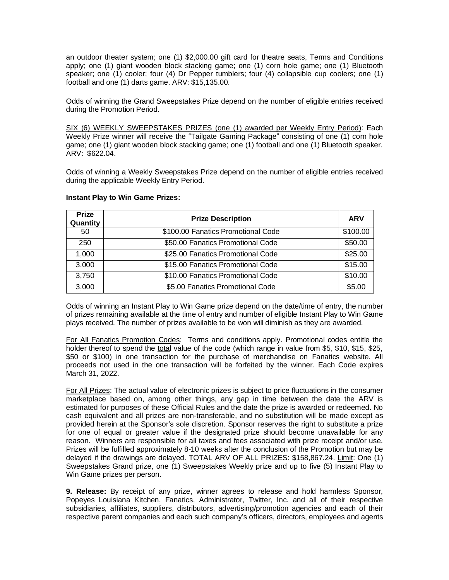an outdoor theater system; one (1) \$2,000.00 gift card for theatre seats, Terms and Conditions apply; one (1) giant wooden block stacking game; one (1) corn hole game; one (1) Bluetooth speaker; one (1) cooler; four (4) Dr Pepper tumblers; four (4) collapsible cup coolers; one (1) football and one (1) darts game. ARV: \$15,135.00.

Odds of winning the Grand Sweepstakes Prize depend on the number of eligible entries received during the Promotion Period.

SIX (6) WEEKLY SWEEPSTAKES PRIZES (one (1) awarded per Weekly Entry Period): Each Weekly Prize winner will receive the "Tailgate Gaming Package" consisting of one (1) corn hole game; one (1) giant wooden block stacking game; one (1) football and one (1) Bluetooth speaker. ARV: \$622.04.

Odds of winning a Weekly Sweepstakes Prize depend on the number of eligible entries received during the applicable Weekly Entry Period.

| <b>Prize</b><br>Quantity | <b>Prize Description</b>           | <b>ARV</b> |
|--------------------------|------------------------------------|------------|
| 50                       | \$100.00 Fanatics Promotional Code | \$100.00   |
| 250                      | \$50.00 Fanatics Promotional Code  | \$50.00    |
| 1,000                    | \$25.00 Fanatics Promotional Code  | \$25.00    |
| 3,000                    | \$15.00 Fanatics Promotional Code  | \$15.00    |
| 3,750                    | \$10.00 Fanatics Promotional Code  | \$10.00    |
| 3,000                    | \$5.00 Fanatics Promotional Code   | \$5.00     |

#### **Instant Play to Win Game Prizes:**

Odds of winning an Instant Play to Win Game prize depend on the date/time of entry, the number of prizes remaining available at the time of entry and number of eligible Instant Play to Win Game plays received. The number of prizes available to be won will diminish as they are awarded.

For All Fanatics Promotion Codes: Terms and conditions apply. Promotional codes entitle the holder thereof to spend the total value of the code (which range in value from \$5, \$10, \$15, \$25, \$50 or \$100) in one transaction for the purchase of merchandise on Fanatics website. All proceeds not used in the one transaction will be forfeited by the winner. Each Code expires March 31, 2022.

For All Prizes: The actual value of electronic prizes is subject to price fluctuations in the consumer marketplace based on, among other things, any gap in time between the date the ARV is estimated for purposes of these Official Rules and the date the prize is awarded or redeemed. No cash equivalent and all prizes are non-transferable, and no substitution will be made except as provided herein at the Sponsor's sole discretion. Sponsor reserves the right to substitute a prize for one of equal or greater value if the designated prize should become unavailable for any reason. Winners are responsible for all taxes and fees associated with prize receipt and/or use. Prizes will be fulfilled approximately 8-10 weeks after the conclusion of the Promotion but may be delayed if the drawings are delayed. TOTAL ARV OF ALL PRIZES: \$158,867.24. Limit: One (1) Sweepstakes Grand prize, one (1) Sweepstakes Weekly prize and up to five (5) Instant Play to Win Game prizes per person.

**9. Release:** By receipt of any prize, winner agrees to release and hold harmless Sponsor, Popeyes Louisiana Kitchen, Fanatics, Administrator, Twitter, Inc. and all of their respective subsidiaries, affiliates, suppliers, distributors, advertising/promotion agencies and each of their respective parent companies and each such company's officers, directors, employees and agents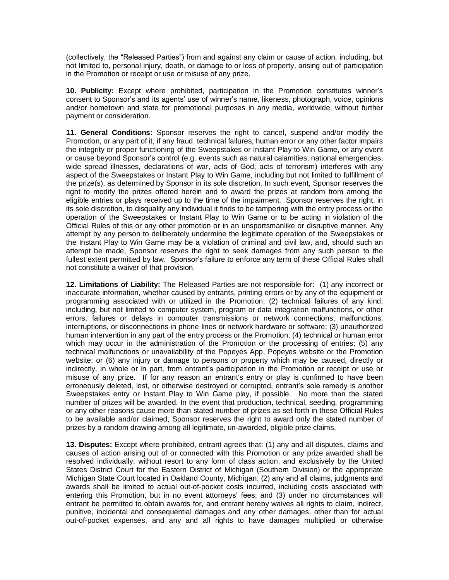(collectively, the "Released Parties") from and against any claim or cause of action, including, but not limited to, personal injury, death, or damage to or loss of property, arising out of participation in the Promotion or receipt or use or misuse of any prize.

**10. Publicity:** Except where prohibited, participation in the Promotion constitutes winner's consent to Sponsor's and its agents' use of winner's name, likeness, photograph, voice, opinions and/or hometown and state for promotional purposes in any media, worldwide, without further payment or consideration.

**11. General Conditions:** Sponsor reserves the right to cancel, suspend and/or modify the Promotion, or any part of it, if any fraud, technical failures, human error or any other factor impairs the integrity or proper functioning of the Sweepstakes or Instant Play to Win Game, or any event or cause beyond Sponsor's control (e.g. events such as natural calamities, national emergencies, wide spread illnesses, declarations of war, acts of God, acts of terrorism) interferes with any aspect of the Sweepstakes or Instant Play to Win Game, including but not limited to fulfillment of the prize(s), as determined by Sponsor in its sole discretion. In such event, Sponsor reserves the right to modify the prizes offered herein and to award the prizes at random from among the eligible entries or plays received up to the time of the impairment. Sponsor reserves the right, in its sole discretion, to disqualify any individual it finds to be tampering with the entry process or the operation of the Sweepstakes or Instant Play to Win Game or to be acting in violation of the Official Rules of this or any other promotion or in an unsportsmanlike or disruptive manner. Any attempt by any person to deliberately undermine the legitimate operation of the Sweepstakes or the Instant Play to Win Game may be a violation of criminal and civil law, and, should such an attempt be made, Sponsor reserves the right to seek damages from any such person to the fullest extent permitted by law. Sponsor's failure to enforce any term of these Official Rules shall not constitute a waiver of that provision.

**12. Limitations of Liability:** The Released Parties are not responsible for: (1) any incorrect or inaccurate information, whether caused by entrants, printing errors or by any of the equipment or programming associated with or utilized in the Promotion; (2) technical failures of any kind, including, but not limited to computer system, program or data integration malfunctions, or other errors, failures or delays in computer transmissions or network connections, malfunctions, interruptions, or disconnections in phone lines or network hardware or software; (3) unauthorized human intervention in any part of the entry process or the Promotion; (4) technical or human error which may occur in the administration of the Promotion or the processing of entries; (5) any technical malfunctions or unavailability of the Popeyes App, Popeyes website or the Promotion website; or (6) any injury or damage to persons or property which may be caused, directly or indirectly, in whole or in part, from entrant's participation in the Promotion or receipt or use or misuse of any prize. If for any reason an entrant's entry or play is confirmed to have been erroneously deleted, lost, or otherwise destroyed or corrupted, entrant's sole remedy is another Sweepstakes entry or Instant Play to Win Game play, if possible. No more than the stated number of prizes will be awarded. In the event that production, technical, seeding, programming or any other reasons cause more than stated number of prizes as set forth in these Official Rules to be available and/or claimed, Sponsor reserves the right to award only the stated number of prizes by a random drawing among all legitimate, un-awarded, eligible prize claims.

**13. Disputes:** Except where prohibited, entrant agrees that: (1) any and all disputes, claims and causes of action arising out of or connected with this Promotion or any prize awarded shall be resolved individually, without resort to any form of class action, and exclusively by the United States District Court for the Eastern District of Michigan (Southern Division) or the appropriate Michigan State Court located in Oakland County, Michigan; (2) any and all claims, judgments and awards shall be limited to actual out-of-pocket costs incurred, including costs associated with entering this Promotion, but in no event attorneys' fees; and (3) under no circumstances will entrant be permitted to obtain awards for, and entrant hereby waives all rights to claim, indirect, punitive, incidental and consequential damages and any other damages, other than for actual out-of-pocket expenses, and any and all rights to have damages multiplied or otherwise